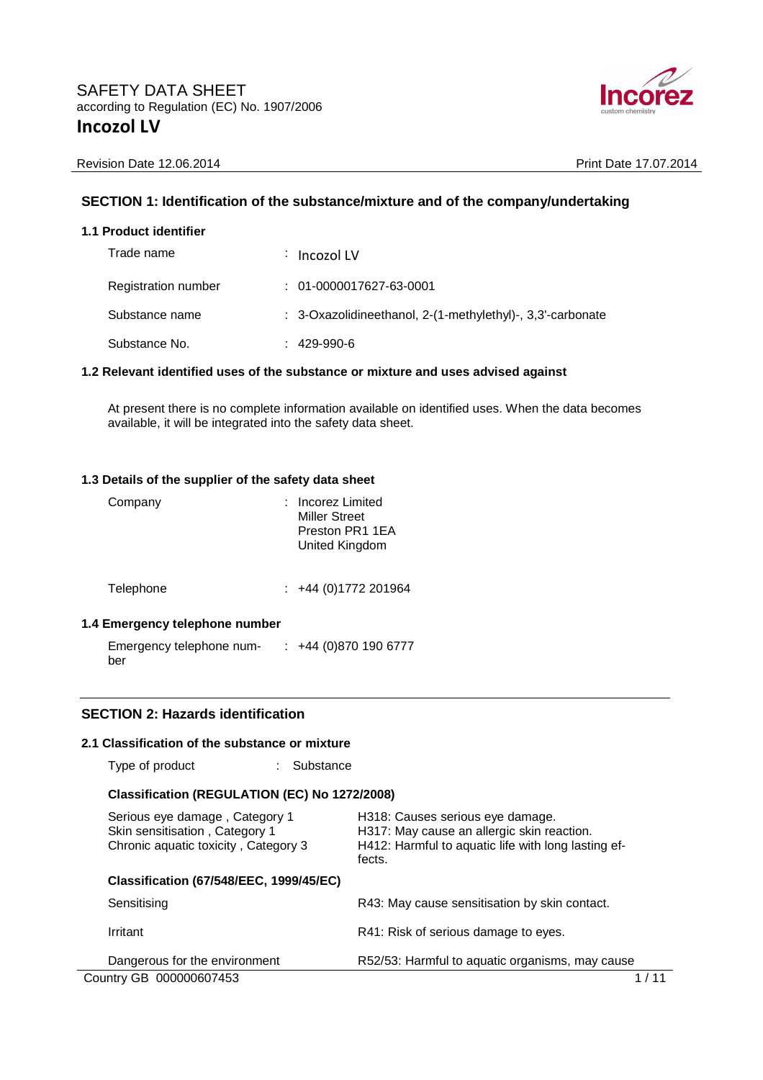

### **SECTION 1: Identification of the substance/mixture and of the company/undertaking**

#### **1.1 Product identifier**

| Trade name          | $\therefore$ Incozol LV                                               |
|---------------------|-----------------------------------------------------------------------|
| Registration number | $: 01 - 0000017627 - 63 - 0001$                                       |
| Substance name      | $\therefore$ 3-Oxazolidineethanol, 2-(1-methylethyl)-, 3,3'-carbonate |
| Substance No.       | $: 429-990-6$                                                         |

#### **1.2 Relevant identified uses of the substance or mixture and uses advised against**

At present there is no complete information available on identified uses. When the data becomes available, it will be integrated into the safety data sheet.

#### **1.3 Details of the supplier of the safety data sheet**

| Company   | Incorez Limited<br><b>Miller Street</b><br>Preston PR1 1EA<br>United Kingdom |
|-----------|------------------------------------------------------------------------------|
| Telephone | $\div$ +44 (0)1772 201964                                                    |

### **1.4 Emergency telephone number**

Emergency telephone num-: +44 (0)870 190 6777 ber

### **SECTION 2: Hazards identification**

#### **2.1 Classification of the substance or mixture**

Type of product : Substance

### **Classification (REGULATION (EC) No 1272/2008)**

| Serious eye damage, Category 1<br>Skin sensitisation, Category 1<br>Chronic aquatic toxicity, Category 3 | H318: Causes serious eye damage.<br>H317: May cause an allergic skin reaction.<br>H412: Harmful to aquatic life with long lasting ef-<br>fects. |
|----------------------------------------------------------------------------------------------------------|-------------------------------------------------------------------------------------------------------------------------------------------------|
| <b>Classification (67/548/EEC, 1999/45/EC)</b>                                                           |                                                                                                                                                 |
| Sensitising                                                                                              | R43: May cause sensitisation by skin contact.                                                                                                   |
| Irritant                                                                                                 | R41: Risk of serious damage to eyes.                                                                                                            |
| Dangerous for the environment                                                                            | R52/53: Harmful to aquatic organisms, may cause                                                                                                 |
| Country GB 000000607453                                                                                  |                                                                                                                                                 |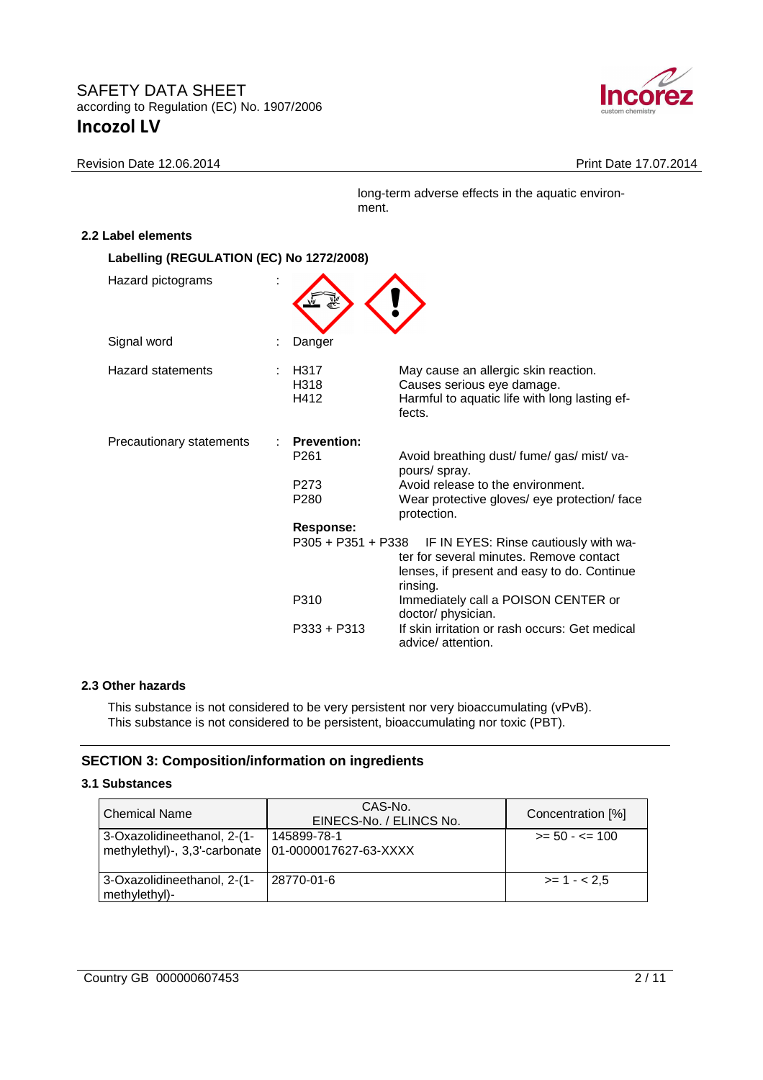

Revision Date 12.06.2014 **Print Date 17.07.2014** 

long-term adverse effects in the aquatic environment.

## **2.2 Label elements**

| Labelling (REGULATION (EC) No 1272/2008) |                                                                                |                                                                                                                                                                                                                                                                                                     |
|------------------------------------------|--------------------------------------------------------------------------------|-----------------------------------------------------------------------------------------------------------------------------------------------------------------------------------------------------------------------------------------------------------------------------------------------------|
| Hazard pictograms                        |                                                                                |                                                                                                                                                                                                                                                                                                     |
| Signal word                              | Danger                                                                         |                                                                                                                                                                                                                                                                                                     |
| Hazard statements                        | H317<br>H318<br>H412                                                           | May cause an allergic skin reaction.<br>Causes serious eye damage.<br>Harmful to aquatic life with long lasting ef-<br>fects.                                                                                                                                                                       |
| Precautionary statements                 | <b>Prevention:</b><br>P <sub>261</sub><br>P <sub>273</sub><br>P <sub>280</sub> | Avoid breathing dust/ fume/ gas/ mist/ va-<br>pours/ spray.<br>Avoid release to the environment.<br>Wear protective gloves/ eye protection/ face<br>protection.                                                                                                                                     |
|                                          | Response:<br>P310<br>$P333 + P313$                                             | P305 + P351 + P338 IF IN EYES: Rinse cautiously with wa-<br>ter for several minutes. Remove contact<br>lenses, if present and easy to do. Continue<br>rinsing.<br>Immediately call a POISON CENTER or<br>doctor/ physician.<br>If skin irritation or rash occurs: Get medical<br>advice/ attention. |

### **2.3 Other hazards**

This substance is not considered to be very persistent nor very bioaccumulating (vPvB). This substance is not considered to be persistent, bioaccumulating nor toxic (PBT).

## **SECTION 3: Composition/information on ingredients**

### **3.1 Substances**

| Chemical Name                                                                        | CAS-No.<br>EINECS-No. / ELINCS No. | Concentration [%]        |
|--------------------------------------------------------------------------------------|------------------------------------|--------------------------|
| 3-Oxazolidineethanol, 2-(1-<br>methylethyl)-, 3,3'-carbonate   01-0000017627-63-XXXX | 145899-78-1                        | $\ge$ = 50 - $\le$ = 100 |
| 3-Oxazolidineethanol, 2-(1-<br>methylethyl)-                                         | 28770-01-6                         | $>= 1 - 2.5$             |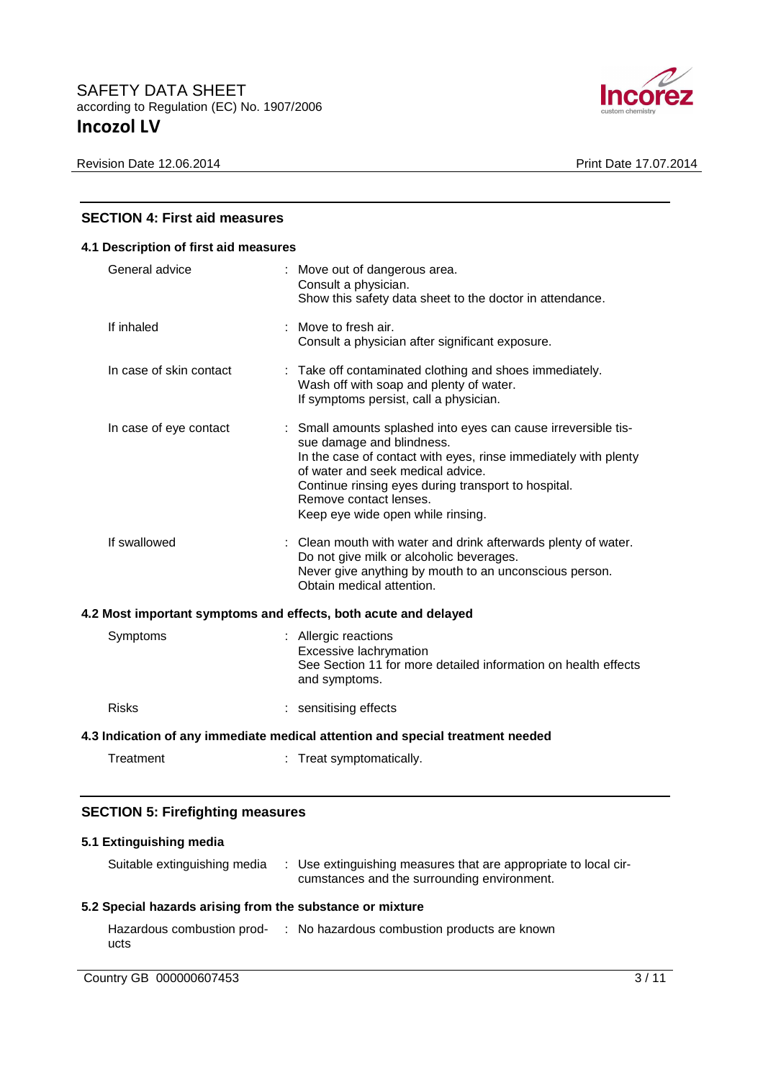

| <b>SECTION 4: First aid measures</b>                                           |                                                                                                                                                                                                                                                                                                                           |  |
|--------------------------------------------------------------------------------|---------------------------------------------------------------------------------------------------------------------------------------------------------------------------------------------------------------------------------------------------------------------------------------------------------------------------|--|
| 4.1 Description of first aid measures                                          |                                                                                                                                                                                                                                                                                                                           |  |
| General advice                                                                 | : Move out of dangerous area.<br>Consult a physician.<br>Show this safety data sheet to the doctor in attendance.                                                                                                                                                                                                         |  |
| If inhaled                                                                     | : Move to fresh air.<br>Consult a physician after significant exposure.                                                                                                                                                                                                                                                   |  |
| In case of skin contact                                                        | : Take off contaminated clothing and shoes immediately.<br>Wash off with soap and plenty of water.<br>If symptoms persist, call a physician.                                                                                                                                                                              |  |
| In case of eye contact                                                         | : Small amounts splashed into eyes can cause irreversible tis-<br>sue damage and blindness.<br>In the case of contact with eyes, rinse immediately with plenty<br>of water and seek medical advice.<br>Continue rinsing eyes during transport to hospital.<br>Remove contact lenses.<br>Keep eye wide open while rinsing. |  |
| If swallowed                                                                   | : Clean mouth with water and drink afterwards plenty of water.<br>Do not give milk or alcoholic beverages.<br>Never give anything by mouth to an unconscious person.<br>Obtain medical attention.                                                                                                                         |  |
| 4.2 Most important symptoms and effects, both acute and delayed                |                                                                                                                                                                                                                                                                                                                           |  |
| Symptoms                                                                       | : Allergic reactions<br>Excessive lachrymation<br>See Section 11 for more detailed information on health effects<br>and symptoms.                                                                                                                                                                                         |  |
| <b>Risks</b>                                                                   | : sensitising effects                                                                                                                                                                                                                                                                                                     |  |
| 4.3 Indication of any immediate medical attention and special treatment needed |                                                                                                                                                                                                                                                                                                                           |  |
| Treatment                                                                      | : Treat symptomatically.                                                                                                                                                                                                                                                                                                  |  |

### **SECTION 5: Firefighting measures**

# **5.1 Extinguishing media**

| Suitable extinguishing media                              | : Use extinguishing measures that are appropriate to local cir-<br>cumstances and the surrounding environment. |  |
|-----------------------------------------------------------|----------------------------------------------------------------------------------------------------------------|--|
| 5.2 Special hazards arising from the substance or mixture |                                                                                                                |  |
| ucts                                                      | Hazardous combustion prod- : No hazardous combustion products are known                                        |  |

**Country GB 000000607453** 3/11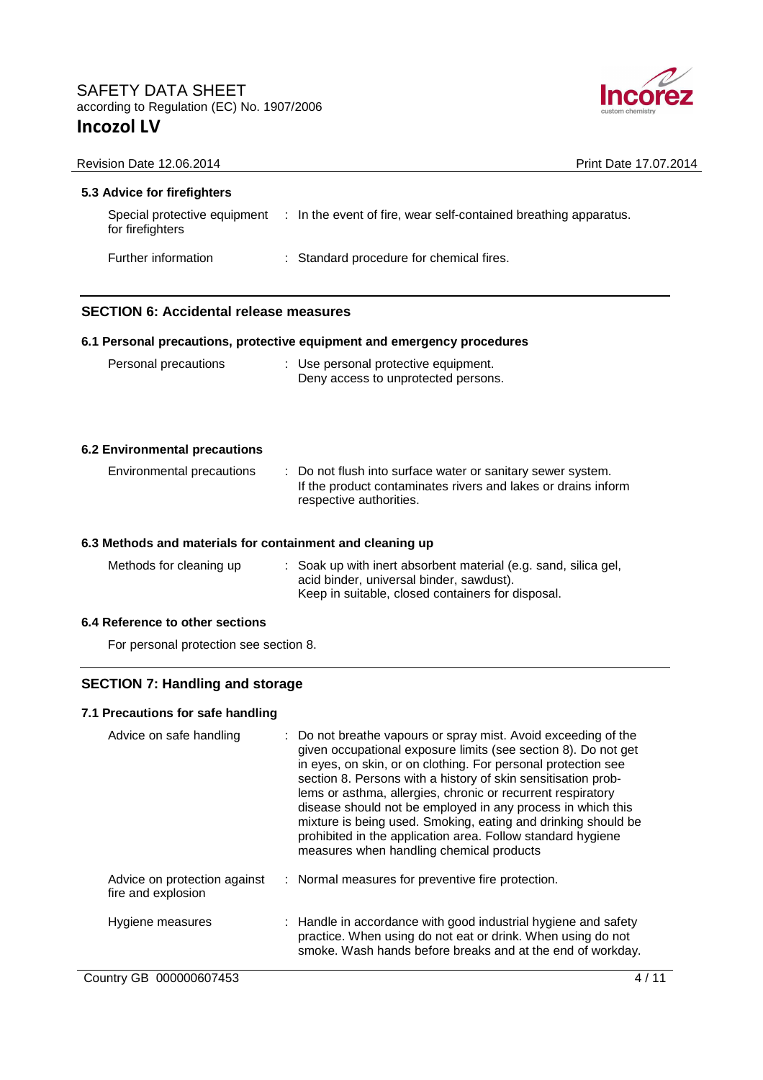

| Revision Date 12.06.2014                                  | Print Date 17.07.2014                                                                                                                                                                                                                                                                                                                                                                                                                                           |
|-----------------------------------------------------------|-----------------------------------------------------------------------------------------------------------------------------------------------------------------------------------------------------------------------------------------------------------------------------------------------------------------------------------------------------------------------------------------------------------------------------------------------------------------|
| 5.3 Advice for firefighters                               |                                                                                                                                                                                                                                                                                                                                                                                                                                                                 |
| for firefighters                                          | Special protective equipment : In the event of fire, wear self-contained breathing apparatus.                                                                                                                                                                                                                                                                                                                                                                   |
| Further information                                       | : Standard procedure for chemical fires.                                                                                                                                                                                                                                                                                                                                                                                                                        |
| <b>SECTION 6: Accidental release measures</b>             |                                                                                                                                                                                                                                                                                                                                                                                                                                                                 |
|                                                           | 6.1 Personal precautions, protective equipment and emergency procedures                                                                                                                                                                                                                                                                                                                                                                                         |
| Personal precautions                                      | : Use personal protective equipment.<br>Deny access to unprotected persons.                                                                                                                                                                                                                                                                                                                                                                                     |
| <b>6.2 Environmental precautions</b>                      |                                                                                                                                                                                                                                                                                                                                                                                                                                                                 |
| Environmental precautions                                 | : Do not flush into surface water or sanitary sewer system.<br>If the product contaminates rivers and lakes or drains inform<br>respective authorities.                                                                                                                                                                                                                                                                                                         |
| 6.3 Methods and materials for containment and cleaning up |                                                                                                                                                                                                                                                                                                                                                                                                                                                                 |
| Methods for cleaning up                                   | : Soak up with inert absorbent material (e.g. sand, silica gel,<br>acid binder, universal binder, sawdust).<br>Keep in suitable, closed containers for disposal.                                                                                                                                                                                                                                                                                                |
| 6.4 Reference to other sections                           |                                                                                                                                                                                                                                                                                                                                                                                                                                                                 |
| For personal protection see section 8.                    |                                                                                                                                                                                                                                                                                                                                                                                                                                                                 |
| <b>SECTION 7: Handling and storage</b>                    |                                                                                                                                                                                                                                                                                                                                                                                                                                                                 |
| 7.1 Precautions for safe handling                         |                                                                                                                                                                                                                                                                                                                                                                                                                                                                 |
| Advice on safe handling                                   | Do not breathe vapours or spray mist. Avoid exceeding of the<br>given occupational exposure limits (see section 8). Do not get<br>in eyes, on skin, or on clothing. For personal protection see<br>section 8. Persons with a history of skin sensitisation prob-<br>lems or asthma, allergies, chronic or recurrent respiratory<br>disease should not be employed in any process in which this<br>mixture is being used. Smoking, eating and drinking should be |

| Advice on protection against<br>fire and explosion | : Normal measures for preventive fire protection.                                                                                                                                           |
|----------------------------------------------------|---------------------------------------------------------------------------------------------------------------------------------------------------------------------------------------------|
| Hygiene measures                                   | : Handle in accordance with good industrial hygiene and safety<br>practice. When using do not eat or drink. When using do not<br>smoke. Wash hands before breaks and at the end of workday. |

prohibited in the application area. Follow standard hygiene

measures when handling chemical products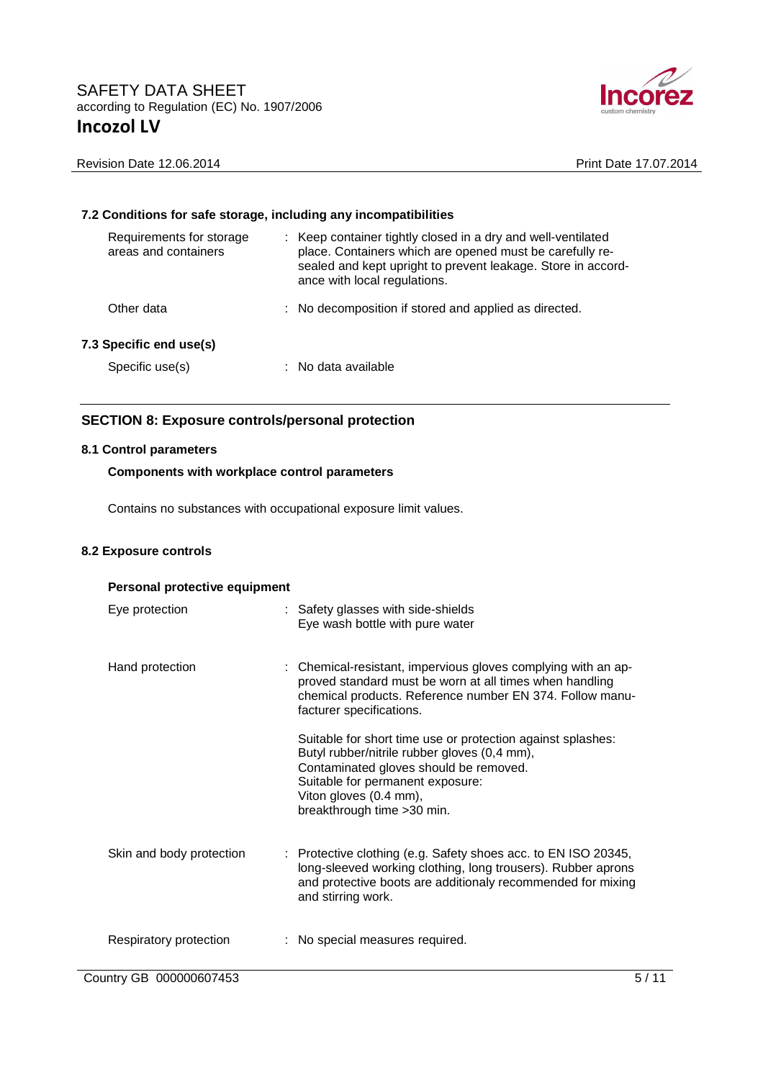

|                                                  | 7.2 Conditions for safe storage, including any incompatibilities                                                                                                                                                         |
|--------------------------------------------------|--------------------------------------------------------------------------------------------------------------------------------------------------------------------------------------------------------------------------|
| Requirements for storage<br>areas and containers | : Keep container tightly closed in a dry and well-ventilated<br>place. Containers which are opened must be carefully re-<br>sealed and kept upright to prevent leakage. Store in accord-<br>ance with local regulations. |
| Other data                                       | : No decomposition if stored and applied as directed.                                                                                                                                                                    |
| 7.3 Specific end use(s)                          |                                                                                                                                                                                                                          |
| Specific use(s)                                  | : No data available                                                                                                                                                                                                      |
|                                                  |                                                                                                                                                                                                                          |

### **SECTION 8: Exposure controls/personal protection**

#### **8.1 Control parameters**

### **Components with workplace control parameters**

Contains no substances with occupational exposure limit values.

#### **8.2 Exposure controls**

| Personal protective equipment |  |                                                                                                                                                                                                                                                    |  |
|-------------------------------|--|----------------------------------------------------------------------------------------------------------------------------------------------------------------------------------------------------------------------------------------------------|--|
| Eye protection                |  | : Safety glasses with side-shields<br>Eye wash bottle with pure water                                                                                                                                                                              |  |
| Hand protection               |  | : Chemical-resistant, impervious gloves complying with an ap-<br>proved standard must be worn at all times when handling<br>chemical products. Reference number EN 374. Follow manu-<br>facturer specifications.                                   |  |
|                               |  | Suitable for short time use or protection against splashes:<br>Butyl rubber/nitrile rubber gloves (0,4 mm),<br>Contaminated gloves should be removed.<br>Suitable for permanent exposure:<br>Viton gloves (0.4 mm),<br>breakthrough time > 30 min. |  |
| Skin and body protection      |  | : Protective clothing (e.g. Safety shoes acc. to EN ISO 20345,<br>long-sleeved working clothing, long trousers). Rubber aprons<br>and protective boots are additionaly recommended for mixing<br>and stirring work.                                |  |
| Respiratory protection        |  | : No special measures required.                                                                                                                                                                                                                    |  |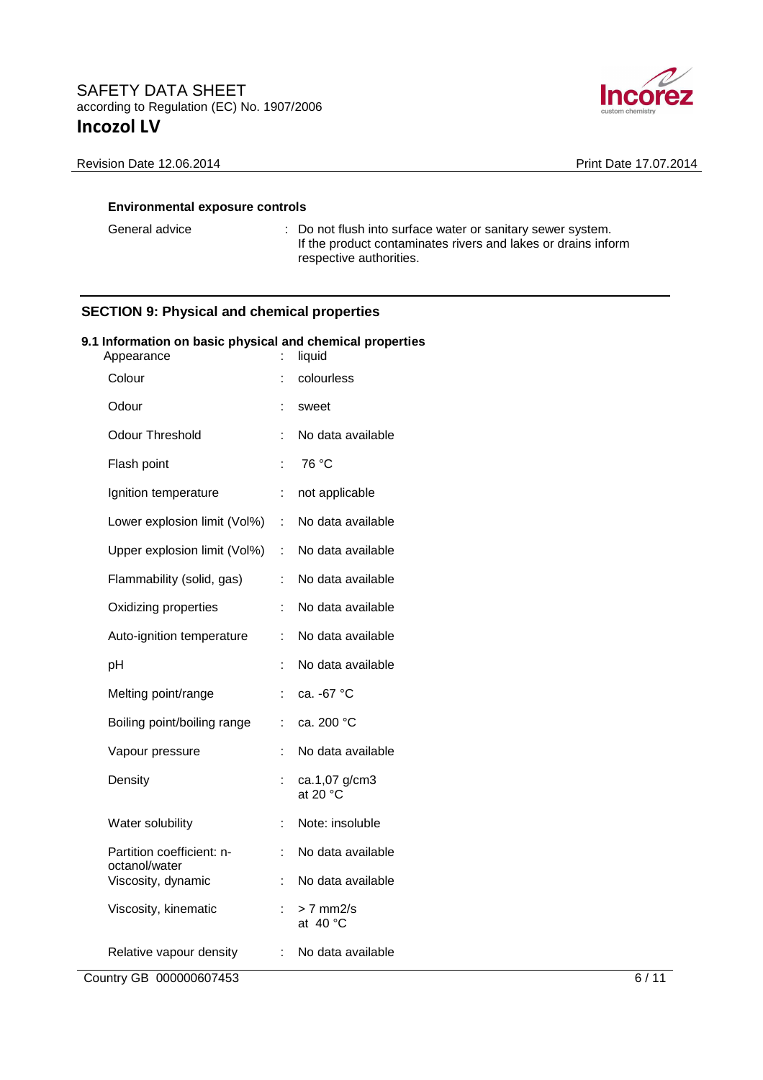

General advice : Do not flush into surface water or sanitary sewer system. If the product contaminates rivers and lakes or drains inform respective authorities.

## **SECTION 9: Physical and chemical properties**

#### **9.1 Information on basic physical and chemical properties**

| Appearance                                 | ÷   | liquid                              |
|--------------------------------------------|-----|-------------------------------------|
| Colour                                     | t.  | colourless                          |
| Odour                                      | İ,  | sweet                               |
| <b>Odour Threshold</b>                     | t   | No data available                   |
| Flash point                                | t   | 76 °C                               |
| Ignition temperature                       | t.  | not applicable                      |
| Lower explosion limit (Vol%)               | t.  | No data available                   |
| Upper explosion limit (Vol%)               | έŤ, | No data available                   |
| Flammability (solid, gas)                  | ÷   | No data available                   |
| Oxidizing properties                       | t   | No data available                   |
| Auto-ignition temperature                  | ÷   | No data available                   |
| pH                                         | ÷   | No data available                   |
| Melting point/range                        | İ,  | ca. -67 °C                          |
| Boiling point/boiling range                | t   | ca. 200 °C                          |
| Vapour pressure                            | ÷   | No data available                   |
| Density                                    | ÷   | ca.1,07 g/cm3<br>at 20 $^{\circ}$ C |
| Water solubility                           | ÷   | Note: insoluble                     |
| Partition coefficient: n-<br>octanol/water | t   | No data available                   |
| Viscosity, dynamic                         | ÷   | No data available                   |
| Viscosity, kinematic                       | ÷.  | > 7 mm2/s<br>at $40 °C$             |
| Relative vapour density                    | t.  | No data available                   |

Country GB 000000607453 6/11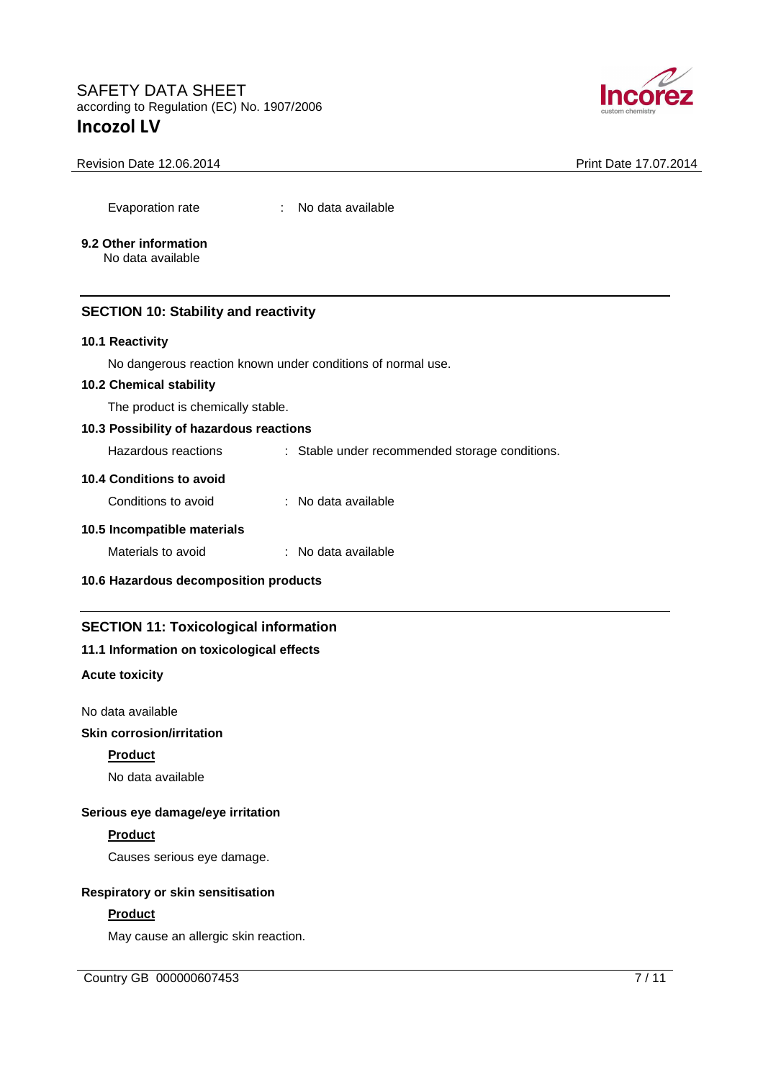

#### Revision Date 12.06.2014 **Print Date 17.07.2014** Print Date 17.07.2014

Evaporation rate : No data available

# **9.2 Other information**

No data available

### **SECTION 10: Stability and reactivity**

#### **10.1 Reactivity**

No dangerous reaction known under conditions of normal use.

### **10.2 Chemical stability**

The product is chemically stable.

### **10.3 Possibility of hazardous reactions**

Hazardous reactions : Stable under recommended storage conditions.

#### **10.4 Conditions to avoid**

| Conditions to avoid | : No data available |
|---------------------|---------------------|
|                     |                     |

## **10.5 Incompatible materials**

### **10.6 Hazardous decomposition products**

### **SECTION 11: Toxicological information**

### **11.1 Information on toxicological effects**

#### **Acute toxicity**

No data available

## **Skin corrosion/irritation**

#### **Product**

No data available

### **Serious eye damage/eye irritation**

### **Product**

Causes serious eye damage.

#### **Respiratory or skin sensitisation**

### **Product**

May cause an allergic skin reaction.

Country GB 000000607453 7/11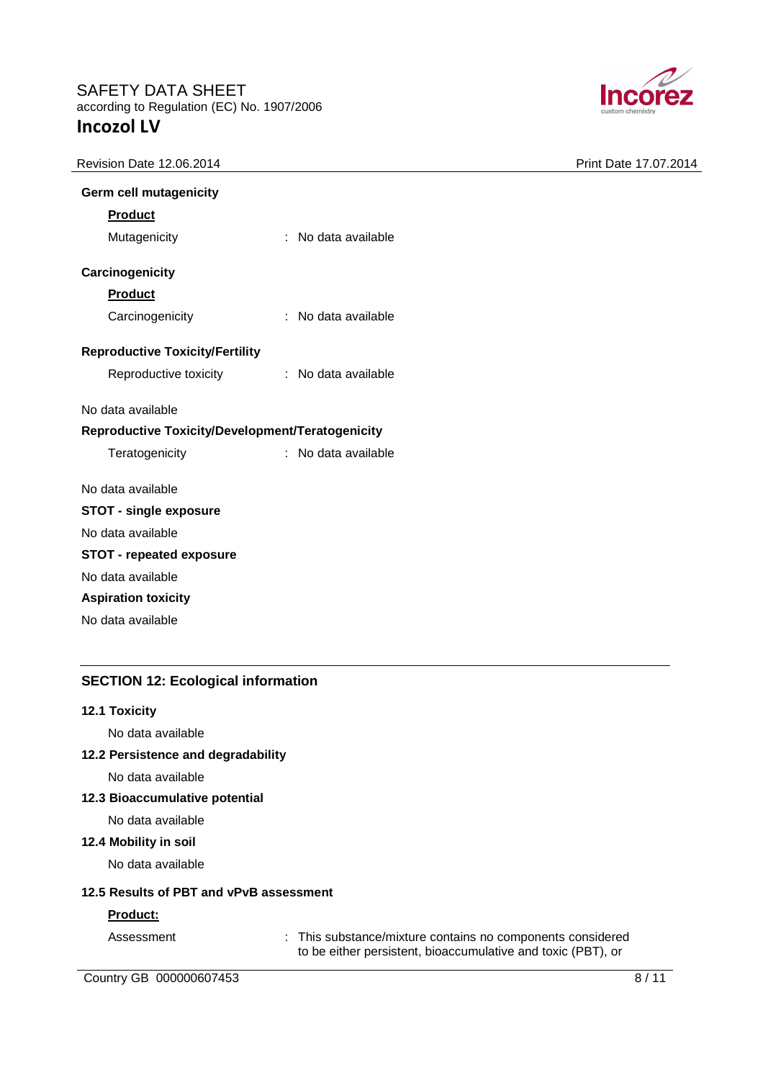

| <b>Revision Date 12.06.2014</b> |  |
|---------------------------------|--|
|---------------------------------|--|

Print Date 17.07.2014

| Germ cell mutagenicity                           |                       |                     |  |
|--------------------------------------------------|-----------------------|---------------------|--|
| <b>Product</b>                                   |                       |                     |  |
| Mutagenicity                                     |                       | : No data available |  |
| Carcinogenicity                                  |                       |                     |  |
| <b>Product</b>                                   |                       |                     |  |
| Carcinogenicity                                  |                       | : No data available |  |
| <b>Reproductive Toxicity/Fertility</b>           |                       |                     |  |
|                                                  | Reproductive toxicity | : No data available |  |
| No data available                                |                       |                     |  |
| Reproductive Toxicity/Development/Teratogenicity |                       |                     |  |
| Teratogenicity                                   |                       | : No data available |  |
| No data available                                |                       |                     |  |
| <b>STOT - single exposure</b>                    |                       |                     |  |
| No data available                                |                       |                     |  |
| <b>STOT - repeated exposure</b>                  |                       |                     |  |
| No data available                                |                       |                     |  |
| <b>Aspiration toxicity</b>                       |                       |                     |  |
| No data available                                |                       |                     |  |
|                                                  |                       |                     |  |

### **SECTION 12: Ecological information**

#### **12.1 Toxicity**

No data available

### **12.2 Persistence and degradability**

No data available

#### **12.3 Bioaccumulative potential**

No data available

#### **12.4 Mobility in soil**

No data available

#### **12.5 Results of PBT and vPvB assessment**

#### **Product:**

Assessment : This substance/mixture contains no components considered to be either persistent, bioaccumulative and toxic (PBT), or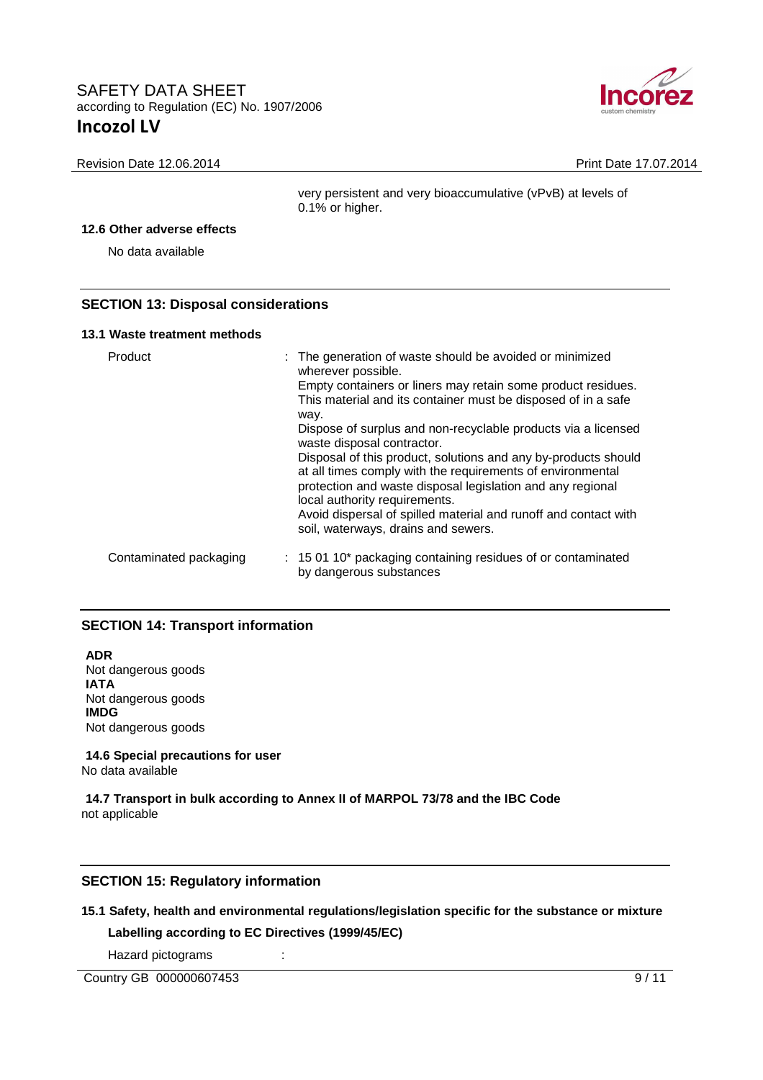

Revision Date 12.06.2014 **Print Date 17.07.2014** Print Date 17.07.2014

very persistent and very bioaccumulative (vPvB) at levels of 0.1% or higher.

#### **12.6 Other adverse effects**

No data available

### **SECTION 13: Disposal considerations**

#### **13.1 Waste treatment methods**

| Product                | : The generation of waste should be avoided or minimized<br>wherever possible.<br>Empty containers or liners may retain some product residues.<br>This material and its container must be disposed of in a safe<br>way.<br>Dispose of surplus and non-recyclable products via a licensed<br>waste disposal contractor.<br>Disposal of this product, solutions and any by-products should<br>at all times comply with the requirements of environmental<br>protection and waste disposal legislation and any regional<br>local authority requirements.<br>Avoid dispersal of spilled material and runoff and contact with<br>soil, waterways, drains and sewers. |
|------------------------|-----------------------------------------------------------------------------------------------------------------------------------------------------------------------------------------------------------------------------------------------------------------------------------------------------------------------------------------------------------------------------------------------------------------------------------------------------------------------------------------------------------------------------------------------------------------------------------------------------------------------------------------------------------------|
| Contaminated packaging | : 15 01 10* packaging containing residues of or contaminated<br>by dangerous substances                                                                                                                                                                                                                                                                                                                                                                                                                                                                                                                                                                         |

### **SECTION 14: Transport information**

**ADR** Not dangerous goods **IATA** Not dangerous goods **IMDG** Not dangerous goods

**14.6 Special precautions for user** No data available

**14.7 Transport in bulk according to Annex II of MARPOL 73/78 and the IBC Code** not applicable

### **SECTION 15: Regulatory information**

#### **15.1 Safety, health and environmental regulations/legislation specific for the substance or mixture**

**Labelling according to EC Directives (1999/45/EC)** 

Hazard pictograms :

Country GB 000000607453 9/11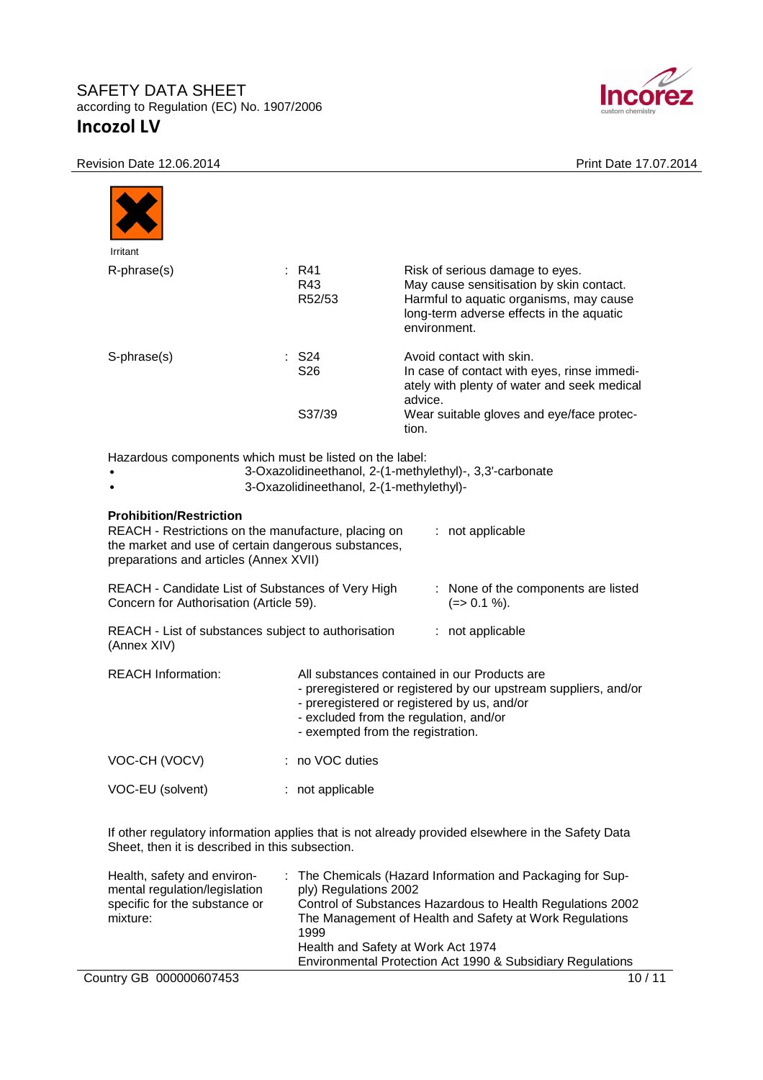

|  | Revision Date 12.06.2014 |
|--|--------------------------|
|  |                          |

|                                                                          |                                                                                                                                                        | Print Date 17.07.2014                                                                                                                                                                                    |
|--------------------------------------------------------------------------|--------------------------------------------------------------------------------------------------------------------------------------------------------|----------------------------------------------------------------------------------------------------------------------------------------------------------------------------------------------------------|
|                                                                          |                                                                                                                                                        |                                                                                                                                                                                                          |
| Irritant                                                                 |                                                                                                                                                        |                                                                                                                                                                                                          |
| R-phrase(s)                                                              | $:$ R41<br>R43<br>R52/53                                                                                                                               | Risk of serious damage to eyes.<br>May cause sensitisation by skin contact.<br>Harmful to aquatic organisms, may cause<br>long-term adverse effects in the aquatic<br>environment.                       |
| S-phrase(s)                                                              | $:$ S24<br>S26                                                                                                                                         | Avoid contact with skin.<br>In case of contact with eyes, rinse immedi-<br>ately with plenty of water and seek medical<br>advice.                                                                        |
|                                                                          | S37/39                                                                                                                                                 | Wear suitable gloves and eye/face protec-<br>tion.                                                                                                                                                       |
|                                                                          | Hazardous components which must be listed on the label:                                                                                                |                                                                                                                                                                                                          |
| <b>Prohibition/Restriction</b><br>preparations and articles (Annex XVII) | 3-Oxazolidineethanol, 2-(1-methylethyl)-<br>REACH - Restrictions on the manufacture, placing on<br>the market and use of certain dangerous substances, | 3-Oxazolidineethanol, 2-(1-methylethyl)-, 3,3'-carbonate<br>: not applicable                                                                                                                             |
| Concern for Authorisation (Article 59).                                  | REACH - Candidate List of Substances of Very High                                                                                                      | : None of the components are listed<br>$(=>0.1\%)$ .                                                                                                                                                     |
| (Annex XIV)                                                              | REACH - List of substances subject to authorisation                                                                                                    | : not applicable                                                                                                                                                                                         |
| <b>REACH Information:</b>                                                | - exempted from the registration.                                                                                                                      | All substances contained in our Products are<br>- preregistered or registered by our upstream suppliers, and/or<br>- preregistered or registered by us, and/or<br>- excluded from the regulation, and/or |
| VOC-CH (VOCV)                                                            | : no VOC duties                                                                                                                                        |                                                                                                                                                                                                          |

Sheet, then it is described in this subsection.

| Health, safety and environ-<br>mental regulation/legislation<br>specific for the substance or<br>mixture: | : The Chemicals (Hazard Information and Packaging for Sup-<br>ply) Regulations 2002<br>Control of Substances Hazardous to Health Regulations 2002<br>The Management of Health and Safety at Work Regulations<br>1999<br>Health and Safety at Work Act 1974<br>Environmental Protection Act 1990 & Subsidiary Regulations |
|-----------------------------------------------------------------------------------------------------------|--------------------------------------------------------------------------------------------------------------------------------------------------------------------------------------------------------------------------------------------------------------------------------------------------------------------------|
| Country GB 000000607453                                                                                   | 10/11                                                                                                                                                                                                                                                                                                                    |